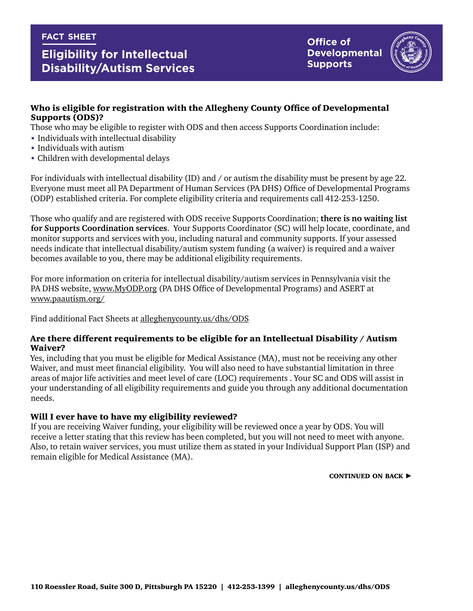#### **fact sheet**

# **Eligibility for Intellectual Disability/Autism Services**

**Office of Developmental Supports**



## Who is eligible for registration with the Allegheny County Office of Developmental Supports (ODS)?

Those who may be eligible to register with ODS and then access Supports Coordination include:

- **Individuals with intellectual disability**
- Individuals with autism
- Children with developmental delays

For individuals with intellectual disability (ID) and / or autism the disability must be present by age 22. Everyone must meet all PA Department of Human Services (PA DHS) Office of Developmental Programs (ODP) established criteria. For complete eligibility criteria and requirements call 412-253-1250.

Those who qualify and are registered with ODS receive Supports Coordination; **there is no waiting list for Supports Coordination services**. Your Supports Coordinator (SC) will help locate, coordinate, and monitor supports and services with you, including natural and community supports. If your assessed needs indicate that intellectual disability/autism system funding (a waiver) is required and a waiver becomes available to you, there may be additional eligibility requirements.

For more information on criteria for intellectual disability/autism services in Pennsylvania visit the PA DHS website, www.MyODP.org (PA DHS Office of Developmental Programs) and ASERT at www.paautism.org/

Find additional Fact Sheets at [alleghenycounty.us/dhs/ODS](http://www.alleghenycounty.us/dhs/ODS)

#### Are there different requirements to be eligible for an Intellectual Disability / Autism Waiver?

Yes, including that you must be eligible for Medical Assistance (MA), must not be receiving any other Waiver, and must meet financial eligibility. You will also need to have substantial limitation in three areas of major life activities and meet level of care (LOC) requirements . Your SC and ODS will assist in your understanding of all eligibility requirements and guide you through any additional documentation needs.

### Will I ever have to have my eligibility reviewed?

If you are receiving Waiver funding, your eligibility will be reviewed once a year by ODS. You will receive a letter stating that this review has been completed, but you will not need to meet with anyone. Also, to retain waiver services, you must utilize them as stated in your Individual Support Plan (ISP) and remain eligible for Medical Assistance (MA).

CONTINUED ON BACK  $\blacktriangleright$